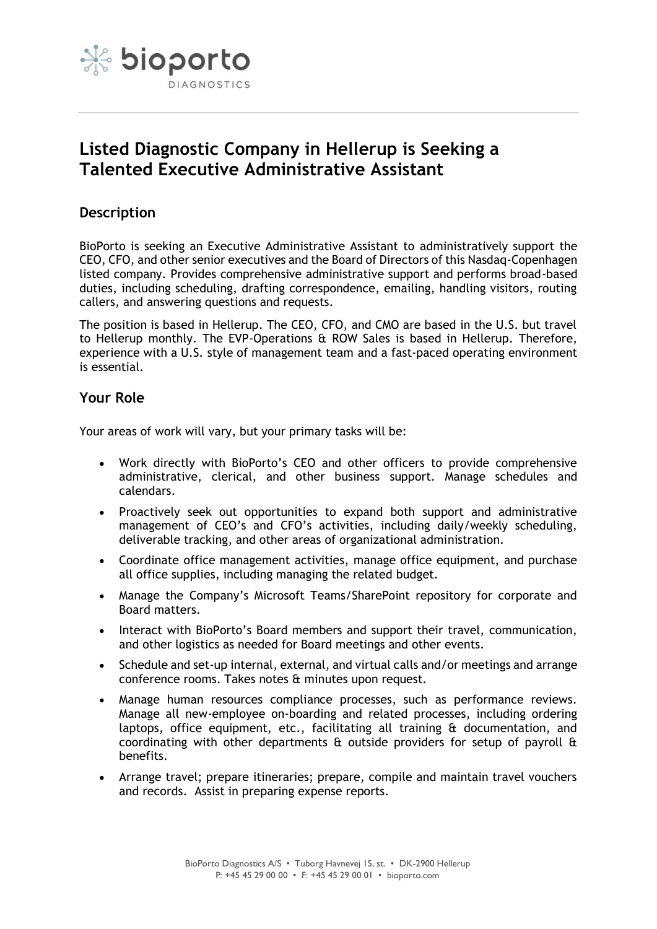

# **Listed Diagnostic Company in Hellerup is Seeking a Talented Executive Administrative Assistant**

# **Description**

BioPorto is seeking an Executive Administrative Assistant to administratively support the CEO, CFO, and other senior executives and the Board of Directors of this Nasdaq-Copenhagen listed company. Provides comprehensive administrative support and performs broad-based duties, including scheduling, drafting correspondence, emailing, handling visitors, routing callers, and answering questions and requests.

The position is based in Hellerup. The CEO, CFO, and CMO are based in the U.S. but travel to Hellerup monthly. The EVP-Operations & ROW Sales is based in Hellerup. Therefore, experience with a U.S. style of management team and a fast-paced operating environment is essential.

# **Your Role**

Your areas of work will vary, but your primary tasks will be:

- Work directly with BioPorto's CEO and other officers to provide comprehensive administrative, clerical, and other business support. Manage schedules and calendars.
- Proactively seek out opportunities to expand both support and administrative management of CEO's and CFO's activities, including daily/weekly scheduling, deliverable tracking, and other areas of organizational administration.
- Coordinate office management activities, manage office equipment, and purchase all office supplies, including managing the related budget.
- Manage the Company's Microsoft Teams/SharePoint repository for corporate and Board matters.
- Interact with BioPorto's Board members and support their travel, communication, and other logistics as needed for Board meetings and other events.
- Schedule and set-up internal, external, and virtual calls and/or meetings and arrange conference rooms. Takes notes & minutes upon request.
- Manage human resources compliance processes, such as performance reviews. Manage all new-employee on-boarding and related processes, including ordering laptops, office equipment, etc., facilitating all training & documentation, and coordinating with other departments & outside providers for setup of payroll & benefits.
- Arrange travel; prepare itineraries; prepare, compile and maintain travel vouchers and records. Assist in preparing expense reports.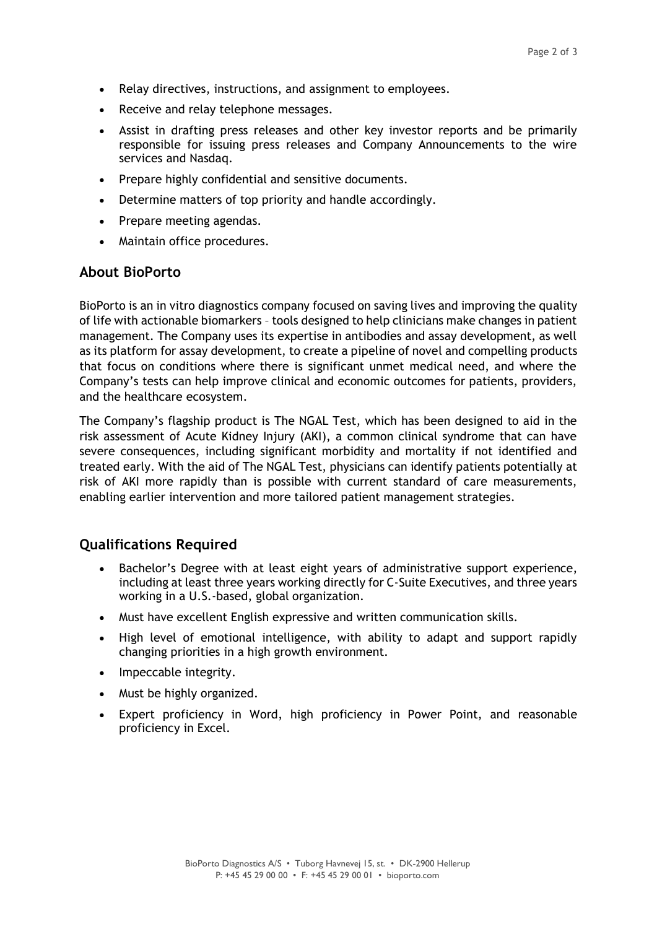- Relay directives, instructions, and assignment to employees.
- Receive and relay telephone messages.
- Assist in drafting press releases and other key investor reports and be primarily responsible for issuing press releases and Company Announcements to the wire services and Nasdaq.
- Prepare highly confidential and sensitive documents.
- Determine matters of top priority and handle accordingly.
- Prepare meeting agendas.
- Maintain office procedures.

#### **About BioPorto**

BioPorto is an in vitro diagnostics company focused on saving lives and improving the quality of life with actionable biomarkers – tools designed to help clinicians make changes in patient management. The Company uses its expertise in antibodies and assay development, as well as its platform for assay development, to create a pipeline of novel and compelling products that focus on conditions where there is significant unmet medical need, and where the Company's tests can help improve clinical and economic outcomes for patients, providers, and the healthcare ecosystem.

The Company's flagship product is The NGAL Test, which has been designed to aid in the risk assessment of Acute Kidney Injury (AKI), a common clinical syndrome that can have severe consequences, including significant morbidity and mortality if not identified and treated early. With the aid of The NGAL Test, physicians can identify patients potentially at risk of AKI more rapidly than is possible with current standard of care measurements, enabling earlier intervention and more tailored patient management strategies.

## **Qualifications Required**

- Bachelor's Degree with at least eight years of administrative support experience, including at least three years working directly for C-Suite Executives, and three years working in a U.S.-based, global organization.
- Must have excellent English expressive and written communication skills.
- High level of emotional intelligence, with ability to adapt and support rapidly changing priorities in a high growth environment.
- Impeccable integrity.
- Must be highly organized.
- Expert proficiency in Word, high proficiency in Power Point, and reasonable proficiency in Excel.